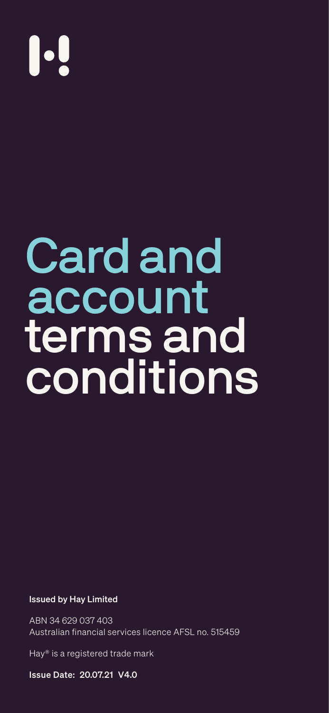# 

Card and

# account terms and conditions

### Issued by Hay Limited

ABN 34 629 037 403 Australian financial services licence AFSL no. 515459

Hay® is a registered trade mark

Issue Date: 20.07.21 V4.0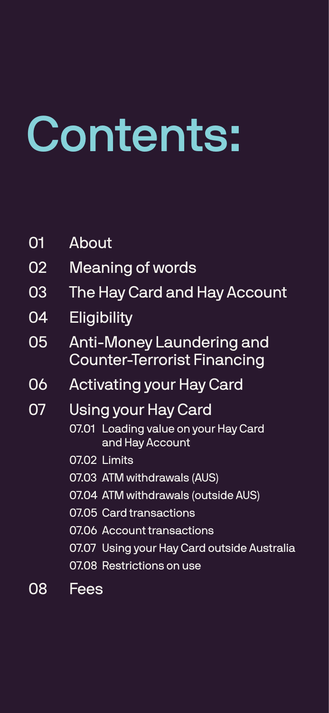# <span id="page-1-0"></span>Contents:

01 [About](#page-5-0)

- 02 [Meaning of words](#page-6-0)
- 03 [The Hay Card and Hay Account](#page-7-0)
- 04 [Eligibility](#page-8-0)
- 05 [Anti-Money Laundering and](#page-8-0) [Counter-Terrorist Financing](#page-8-0)
- 06 [Activating your Hay Card](#page-9-0)
- 07 [Using your Hay Card](#page-9-0)
	- 07.01 [Loading value on your Hay Card](#page-9-0)   [and Hay Account](#page-9-0)
		- 07.02 [Limits](#page-10-0)
		- 07.03 [ATM withdrawals \(AUS\)](#page-10-0)
		- 07.04 [ATM withdrawals \(outside AUS\)](#page-10-0)
		- 07.05 [Card transactions](#page-11-0)
		-

07.06 [Account transactions](#page-11-0) 07.07 [Using your Hay Card outside Australia](#page-12-0) 07.08 [Restrictions on use](#page-12-0)

# 08 [Fees](#page-13-0)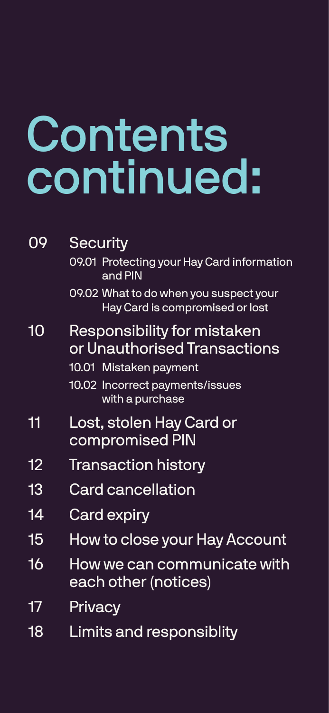09 [Security](#page-13-0)

09.01 [Protecting your Hay Card information](#page-13-0) 

 [and PIN](#page-13-0)

09.02 [What to do when you suspect your](#page-13-0)   [Hay Card is compromised or lost](#page-13-0)

- 10 [Responsibility for mistaken](#page-14-0) [or Unauthorised Transactions](#page-14-0)  10.01 [Mistaken payment](#page-14-0) 10.02 [Incorrect payments/issues](#page-14-0)   [with a purchase](#page-14-0)
- 11 [Lost, stolen Hay Card or](#page-15-0) [compromised PIN](#page-15-0)
- 12 [Transaction](#page-15-0) history
- 13 [Card cancellation](#page-16-0)
- 14 [Card expiry](#page-16-0)
- 15 [How to close your Hay Account](#page-17-0)
- 16 [How we can communicate with](#page-17-0)  [each other \(notices\)](#page-17-0)

# 17 [Privacy](#page-18-0)

18 [Limits and responsiblity](#page-18-0)

# <span id="page-2-0"></span>Contents continued: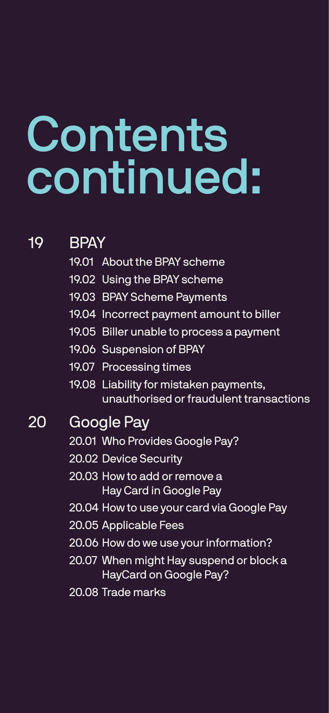# Contents continued:

19 [BPAY](#page-19-0) 19.01 [About the BPAY scheme](#page-19-0)

- 
- 19.02 [Using the BPAY scheme](#page-20-0)
- 19.03 [BPAY Scheme Payments](#page-20-0)
- 19.04 [Incorrect payment amount to biller](#page-21-0)
- 19.05 [Biller unable to process a payment](#page-22-0)
- 19.06 [Suspension of BPAY](#page-22-0)
- 19.07 [Processing times](#page-22-0)
- 19.08 [Liability for mistaken payments,](#page-22-0)  [unauthorised or fraudulent transactions](#page-22-0)
- 20 [Google Pay](#page-25-0) 20.01 [Who Provides Google Pay?](#page-25-0) 20.02 [Device Security](#page-25-0) 2[0.03 How to add or remove a](#page-20-0)   [Hay Card in Google Pay](#page-20-0) 20.04 [How to use your card via Google Pay](#page-20-0) 20.05 [Applicable Fees](#page-20-0)

20.06 [How do we use your information?](#page-21-0) [20.07 When might Hay suspend or block a](#page-21-0)  [HayCard on Google Pay?](#page-21-0)

20.08 [Trade marks](#page-21-0)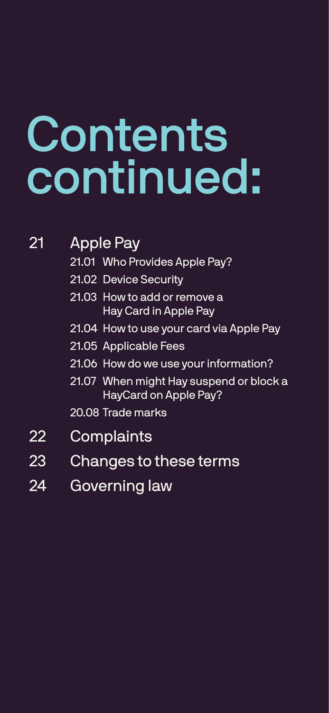# <span id="page-4-0"></span>Contents continued:

21 [Apple Pay](#page-28-0) 21.01 [Who Provides Apple Pay?](#page-28-0)

- 22 [Complaints](#page-31-0)
- 23 [Changes to these terms](#page-31-0)
- 24 [Governing law](#page-31-0)

- 
- 21.02 [Device Security](#page-28-0)
- [21.03 How to add or remove a](#page-28-0)   [Hay Card in Apple Pay](#page-28-0)
- 21.04 [How to use your card via Apple Pay](#page-23-0)
- 21.05 [Applicable Fees](#page-23-0)
- 21.06 [How do we use your information?](#page-23-0)
- 2[1.07 When might Hay suspend or block a](#page-31-0)  [HayCard on Apple Pay?](#page-31-0)

20.08 [Trade marks](#page-31-0)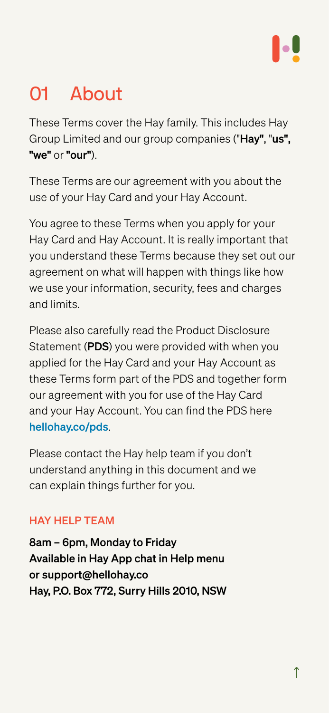# <span id="page-5-0"></span>**About**

These Terms cover the Hay family. This includes Hay Group Limited and our group companies ("Hay", "us", "we" or "our").

These Terms are our agreement with you about the use of your Hay Card and your Hay Account.

You agree to these Terms when you apply for your Hay Card and Hay Account. It is really important that you understand these Terms because they set out our

agreement on what will happen with things like how we use your information, security, fees and charges and limits.

Please also carefully read the Product Disclosure Statement (PDS) you were provided with when you applied for the Hay Card and your Hay Account as these Terms form part of the PDS and together form our agreement with you for use of the Hay Card and your Hay Account. You can find the PDS here [hellohay.co/pds](https://www.hellohay.co/pds).

Please contact the Hay help team if you don't understand anything in this document and we can explain things further for you.

## HAY HELP TEAM

8am – 6pm, Monday to Friday Available in Hay App chat in Help menu or [support@hellohay.co](mailto:support@hellohay.co) Hay, P.O. Box 772, Surry Hills 2010, NSW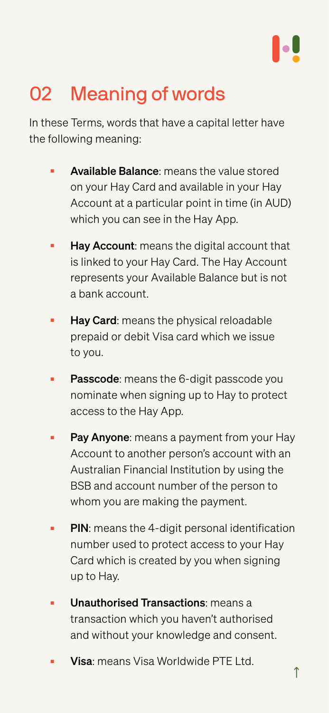# <span id="page-6-0"></span>02 Meaning of words

In these Terms, words that have a capital letter have the following meaning:

- **Available Balance:** means the value stored on your Hay Card and available in your Hay Account at a particular point in time (in AUD) which you can see in the Hay App.
- **Hay Account:** means the digital account that is linked to your Hay Card. The Hay Account represents your Available Balance but is not a bank account.
- **Hay Card:** means the physical reloadable prepaid or debit Visa card which we issue to you.
- **Passcode**: means the 6-digit passcode you nominate when signing up to Hay to protect access to the Hay App.
- **Pay Anyone**: means a payment from your Hay Account to another person's account with an Australian Financial Institution by using the BSB and account number of the person to whom you are making the payment.
- PIN: means the 4-digit personal identification number used to protect access to your Hay Card which is created by you when signing up to Hay.
- **Unauthorised Transactions:** means a transaction which you haven't authorised and without your knowledge and consent.
- Visa: means Visa Worldwide PTE Ltd.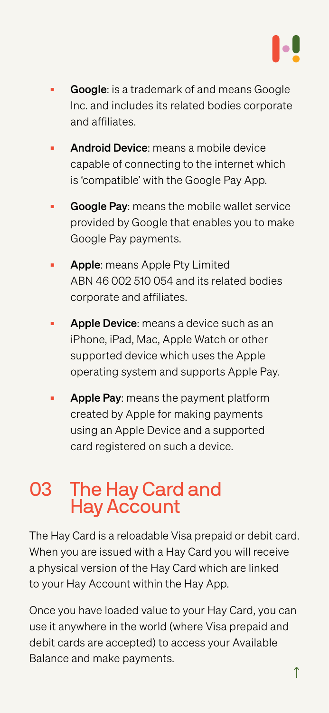- <span id="page-7-0"></span>■ Google: is a trademark of and means Google Inc. and includes its related bodies corporate and affiliates.
- Android Device: means a mobile device capable of connecting to the internet which is 'compatible' with the Google Pay App.
- Google Pay: means the mobile wallet service provided by Google that enables you to make Google Pay payments.

- **Apple:** means Apple Pty Limited ABN 46 002 510 054 and its related bodies corporate and affiliates.
- **Apple Device**: means a device such as an iPhone, iPad, Mac, Apple Watch or other supported device which uses the Apple operating system and supports Apple Pay.
- **Apple Pay**: means the payment platform created by Apple for making payments using an Apple Device and a supported card registered on such a device.

[↑](#page-1-0) Once you have loaded value to your Hay Card, you can use it anywhere in the world (where Visa prepaid and debit cards are accepted) to access your Available Balance and make payments.

# 03 The Hay Card and Hay Account

The Hay Card is a reloadable Visa prepaid or debit card. When you are issued with a Hay Card you will receive a physical version of the Hay Card which are linked to your Hay Account within the Hay App.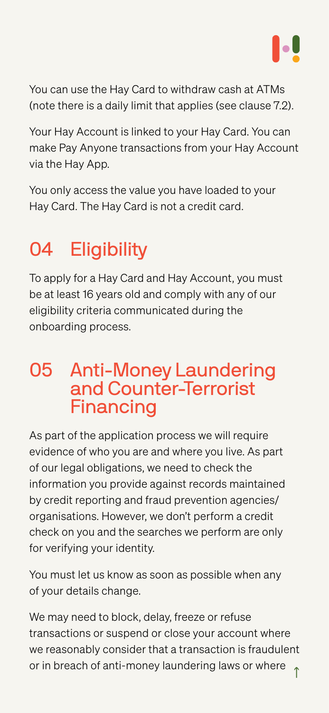<span id="page-8-0"></span>You can use the Hay Card to withdraw cash at ATMs (note there is a daily limit that applies [\(see clause 7.2\).](#page-10-0)

Your Hay Account is linked to your Hay Card. You can make Pay Anyone transactions from your Hay Account via the Hay App.

You only access the value you have loaded to your Hay Card. The Hay Card is not a credit card.

# **Eligibility**

To apply for a Hay Card and Hay Account, you must be at least 16 years old and comply with any of our eligibility criteria communicated during the onboarding process.

# 05 Anti-Money Laundering and Counter-Terrorist Financing

[↑](#page-1-0) We may need to block, delay, freeze or refuse transactions or suspend or close your account where we reasonably consider that a transaction is fraudulent or in breach of anti-money laundering laws or where

As part of the application process we will require evidence of who you are and where you live. As part of our legal obligations, we need to check the information you provide against records maintained by credit reporting and fraud prevention agencies/ organisations. However, we don't perform a credit

check on you and the searches we perform are only for verifying your identity.

You must let us know as soon as possible when any of your details change.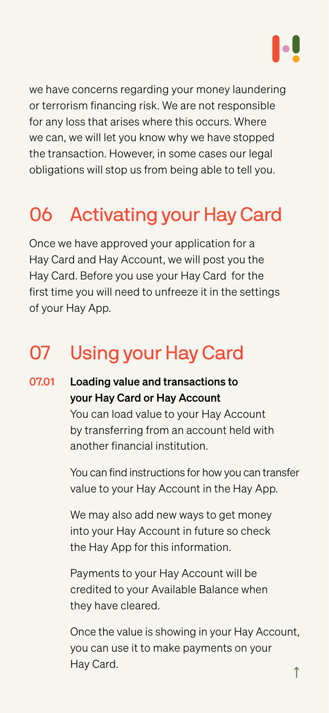<span id="page-9-0"></span>we have concerns regarding your money laundering or terrorism financing risk. We are not responsible for any loss that arises where this occurs. Where we can, we will let you know why we have stopped the transaction. However, in some cases our legal obligations will stop us from being able to tell you.

# 06 Activating your Hay Card

Once we have approved your application for a Hay Card and Hay Account, we will post you the Hay Card. Before you use your Hay Card for the first time you will need to unfreeze it in the settings of your Hay App.

# 07 Using your Hay Card

[↑](#page-1-0) Once the value is showing in your Hay Account, you can use it to make payments on your Hay Card.

You can find instructions for how you can transfer value to your Hay Account in the Hay App.

We may also add new ways to get money

## Loading value and transactions to your Hay Card or Hay Account You can load value to your Hay Account by transferring from an account held with another financial institution. 07.01

into your Hay Account in future so check the Hay App for this information.

Payments to your Hay Account will be credited to your Available Balance when they have cleared.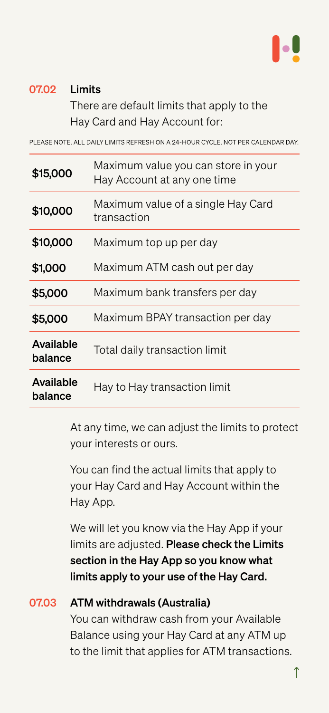Hay Card and Hay Account for:

PLEASE NOTE, ALL DAILY LIMITS REFRESH ON A 24-HOUR CYCLE, NOT PER CALENDAR DAY.

At any time, we can adjust the limits to protect your interests or ours.

You can find the actual limits that apply to your Hay Card and Hay Account within the Hay App.

We will let you know via the Hay App if your limits are adjusted. Please check the Limits section in the Hay App so you know what limits apply to your use of the Hay Card.

### <span id="page-10-0"></span>Limits There are default limits that apply to the 07.02

# ATM withdrawals (Australia) You can withdraw cash from your Available Balance using your Hay Card at any ATM up to the limit that applies for ATM transactions. 07.03

| \$15,000 | Maximum value you can store in your<br>Hay Account at any one time |
|----------|--------------------------------------------------------------------|
| \$10,000 | Maximum value of a single Hay Card<br>transaction                  |
| \$10,000 | Maximum top up per day                                             |

| \$1,000                     | Maximum ATM cash out per day     |
|-----------------------------|----------------------------------|
| \$5,000                     | Maximum bank transfers per day   |
| \$5,000                     | Maximum BPAY transaction per day |
| <b>Available</b><br>balance | Total daily transaction limit    |
| <b>Available</b><br>balance | Hay to Hay transaction limit     |
|                             |                                  |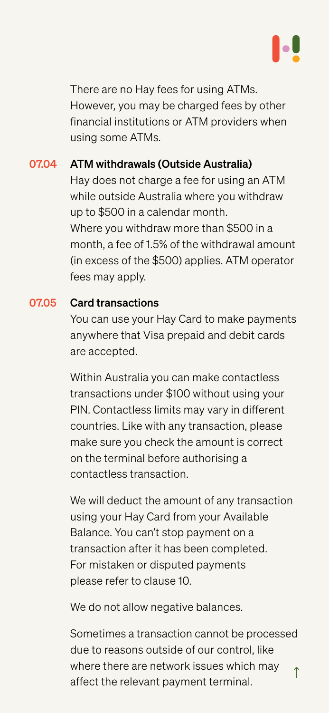<span id="page-11-0"></span>There are no Hay fees for using ATMs. However, you may be charged fees by other financial institutions or ATM providers when using some ATMs.

We will deduct the amount of any transaction using your Hay Card from your Available

You can use your Hay Card to make payments anywhere that Visa prepaid and debit cards are accepted.

[↑](#page-2-0) Sometimes a transaction cannot be processed due to reasons outside of our control, like where there are network issues which may affect the relevant payment terminal.

Within Australia you can make contactless transactions under \$100 without using your PIN. Contactless limits may vary in different countries. Like with any transaction, please make sure you check the amount is correct on the terminal before authorising a contactless transaction.

ATM withdrawals (Outside Australia) Hay does not charge a fee for using an ATM while outside Australia where you withdraw up to \$500 in a calendar month. Where you withdraw more than \$500 in a month, a fee of 1.5% of the withdrawal amount (in excess of the \$500) applies. ATM operator fees may apply. 07.04

### Card transactions 07.05

Balance. You can't stop payment on a transaction after it has been completed. For mistaken or disputed payments please refer to [clause 10](#page-14-0).

We do not allow negative balances.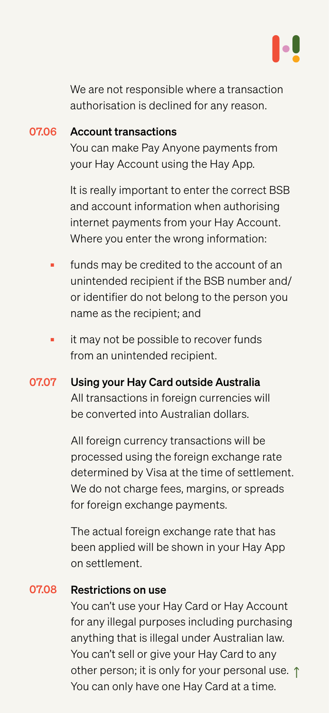<span id="page-12-0"></span>We are not responsible where a transaction authorisation is declined for any reason.

You can make Pay Anyone payments from your Hay Account using the Hay App.

It is really important to enter the correct BSB and account information when authorising internet payments from your Hay Account. Where you enter the wrong information:

other person; it is only for your personal use.  $\uparrow$ You can't use your Hay Card or Hay Account for any illegal purposes including purchasing anything that is illegal under Australian law. You can't sell or give your Hay Card to any You can only have one Hay Card at a time.

- funds may be credited to the account of an unintended recipient if the BSB number and/ or identifier do not belong to the person you name as the recipient; and
- it may not be possible to recover funds from an unintended recipient.
- Using your Hay Card outside Australia All transactions in foreign currencies will be converted into Australian dollars. 07.07

### Account transactions 07.06

All foreign currency transactions will be processed using the foreign exchange rate determined by Visa at the time of settlement. We do not charge fees, margins, or spreads for foreign exchange payments.

The actual foreign exchange rate that has been applied will be shown in your Hay App on settlement.

### Restrictions on use 07.08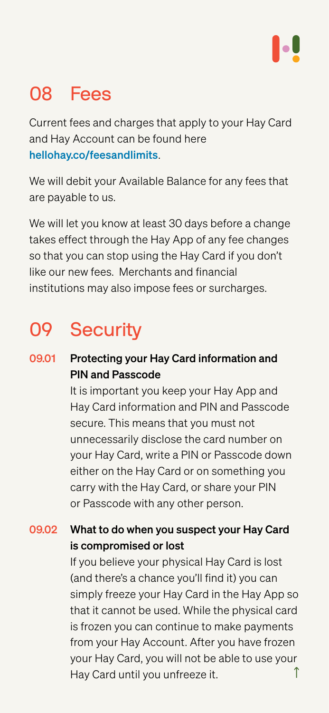# <span id="page-13-0"></span>**Fees**

Current fees and charges that apply to your Hay Card and Hay Account can be found here [hellohay.co/feesa](https://www.hellohay.co/fees)ndlimits.

We will debit your Available Balance for any fees that are payable to us.

We will let you know at least 30 days before a change takes effect through the Hay App of any fee changes so that you can stop using the Hay Card if you don't

like our new fees. Merchants and financial institutions may also impose fees or surcharges.

# 09 Security

[↑](#page-2-0) If you believe your physical Hay Card is lost (and there's a chance you'll find it) you can simply freeze your Hay Card in the Hay App so that it cannot be used. While the physical card is frozen you can continue to make payments from your Hay Account. After you have frozen your Hay Card, you will not be able to use your Hay Card until you unfreeze it.

It is important you keep your Hay App and Hay Card information and PIN and Passcode secure. This means that you must not unnecessarily disclose the card number on your Hay Card, write a PIN or Passcode down either on the Hay Card or on something you carry with the Hay Card, or share your PIN or Passcode with any other person.



Protecting your Hay Card information and PIN and Passcode 09.01

### What to do when you suspect your Hay Card is compromised or lost 09.02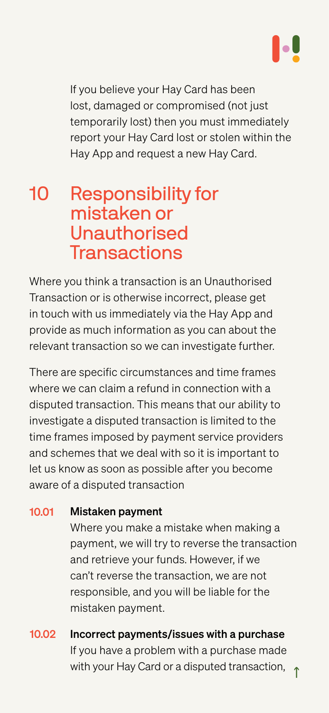<span id="page-14-0"></span>If you believe your Hay Card has been lost, damaged or compromised (not just temporarily lost) then you must immediately report your Hay Card lost or stolen within the Hay App and request a new Hay Card.

10 Responsibility for mistaken or Unauthorised Transactions

Where you think a transaction is an Unauthorised Transaction or is otherwise incorrect, please get in touch with us immediately via the Hay App and provide as much information as you can about the relevant transaction so we can investigate further.

## [↑](#page-2-0) Incorrect payments/issues with a purchase If you have a problem with a purchase made with your Hay Card or a disputed transaction, 10.02

There are specific circumstances and time frames where we can claim a refund in connection with a disputed transaction. This means that our ability to investigate a disputed transaction is limited to the time frames imposed by payment service providers and schemes that we deal with so it is important to let us know as soon as possible after you become aware of a disputed transaction

> Where you make a mistake when making a payment, we will try to reverse the transaction and retrieve your funds. However, if we can't reverse the transaction, we are not responsible, and you will be liable for the mistaken payment.

### Mistaken payment 10.01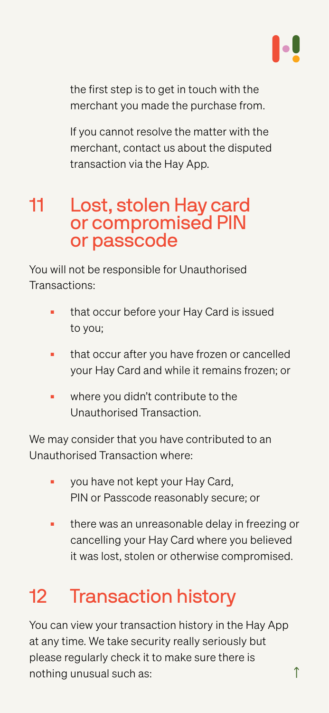<span id="page-15-0"></span>the first step is to get in touch with the merchant you made the purchase from.

If you cannot resolve the matter with the merchant, contact us about the disputed transaction via the Hay App.

11 Lost, stolen Hay card or compromised PIN or passcode

- that occur before your Hay Card is issued to you;
- that occur after you have frozen or cancelled your Hay Card and while it remains frozen; or
- where you didn't contribute to the Unauthorised Transaction.

You will not be responsible for Unauthorised Transactions:

We may consider that you have contributed to an Unauthorised Transaction where:

- you have not kept your Hay Card, PIN or Passcode reasonably secure; or
- there was an unreasonable delay in freezing or

cancelling your Hay Card where you believed it was lost, stolen or otherwise compromised.

# 12 Transaction history

You can view your transaction history in the Hay App at any time. We take security really seriously but please regularly check it to make sure there is nothing unusual such as: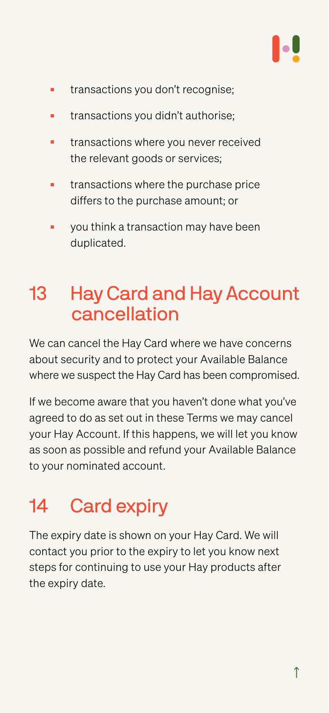- <span id="page-16-0"></span>■ transactions you don't recognise;
- **transactions you didn't authorise;**
- transactions where you never received the relevant goods or services;
- transactions where the purchase price differs to the purchase amount; or
- you think a transaction may have been duplicated.

We can cancel the Hay Card where we have concerns about security and to protect your Available Balance where we suspect the Hay Card has been compromised.

# 13 Hay Card and Hay Account cancellation

If we become aware that you haven't done what you've agreed to do as set out in these Terms we may cancel your Hay Account. If this happens, we will let you know as soon as possible and refund your Available Balance to your nominated account.

# Card expiry

The expiry date is shown on your Hay Card. We will contact you prior to the expiry to let you know next steps for continuing to use your Hay products after the expiry date.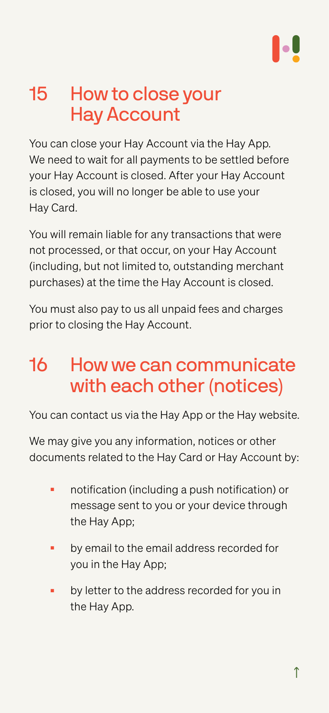# <span id="page-17-0"></span>15 How to close your Hay Account

You can close your Hay Account via the Hay App. We need to wait for all payments to be settled before your Hay Account is closed. After your Hay Account is closed, you will no longer be able to use your Hay Card.

You will remain liable for any transactions that were not processed, or that occur, on your Hay Account (including, but not limited to, outstanding merchant purchases) at the time the Hay Account is closed.

- notification (including a push notification) or message sent to you or your device through the Hay App;
- - by email to the email address recorded for you in the Hay App;
	- by letter to the address recorded for you in the Hay App.

You must also pay to us all unpaid fees and charges prior to closing the Hay Account.

# 16 How we can communicate with each other (notices)

You can contact us via the Hay App or the Hay website.

We may give you any information, notices or other documents related to the Hay Card or Hay Account by: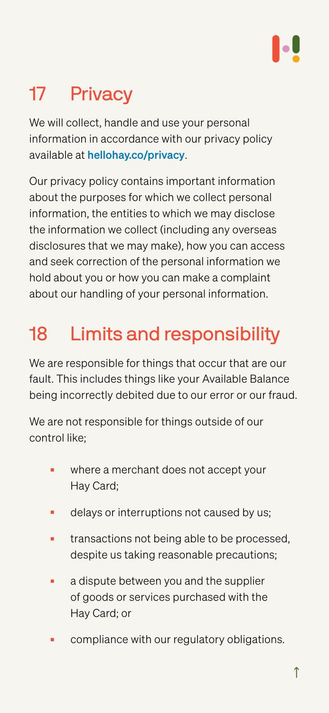# <span id="page-18-0"></span>17 Privacy

We will collect, handle and use your personal information in accordance with our privacy policy available at [hellohay.co/privacy](https://hellohay.co/privacy).

Our privacy policy contains important information about the purposes for which we collect personal information, the entities to which we may disclose the information we collect (including any overseas disclosures that we may make), how you can access and seek correction of the personal information we hold about you or how you can make a complaint about our handling of your personal information.

# 18 Limits and responsibility

We are responsible for things that occur that are our fault. This includes things like your Available Balance being incorrectly debited due to our error or our fraud.

We are not responsible for things outside of our control like;

- where a merchant does not accept your Hay Card;
- delays or interruptions not caused by us;
- transactions not being able to be processed, despite us taking reasonable precautions;
- a dispute between you and the supplier of goods or services purchased with the Hay Card; or
- compliance with our regulatory obligations.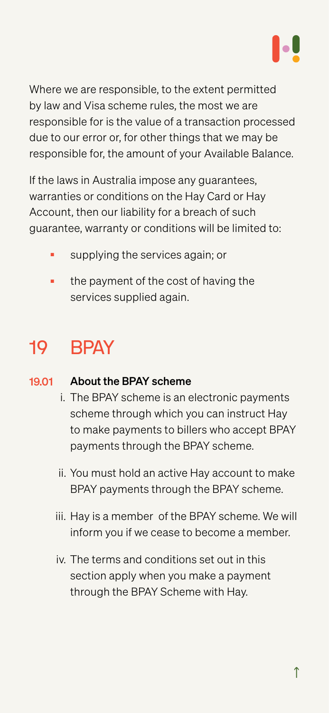<span id="page-19-0"></span>Where we are responsible, to the extent permitted by law and Visa scheme rules, the most we are responsible for is the value of a transaction processed due to our error or, for other things that we may be responsible for, the amount of your Available Balance.

- supplying the services again; or
- the payment of the cost of having the services supplied again.

If the laws in Australia impose any guarantees, warranties or conditions on the Hay Card or Hay Account, then our liability for a breach of such guarantee, warranty or conditions will be limited to:

# 19 BPAY

- i. The BPAY scheme is an electronic payments scheme through which you can instruct Hay to make payments to billers who accept BPAY payments through the BPAY scheme.
- ii. You must hold an active Hay account to make BPAY payments through the BPAY scheme.

### About the BPAY scheme 19.01

iii. Hay is a member of the BPAY scheme. We will

inform you if we cease to become a member.

iv. The terms and conditions set out in this section apply when you make a payment through the BPAY Scheme with Hay.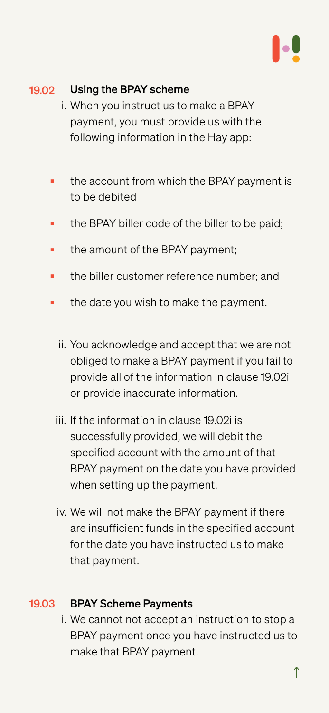- i. When you instruct us to make a BPAY payment, you must provide us with the following information in the Hay app:
- the account from which the BPAY payment is to be debited
- the BPAY biller code of the biller to be paid;
- the amount of the BPAY payment;
- the biller customer reference number; and
- the date you wish to make the payment.
	- ii. You acknowledge and accept that we are not obliged to make a BPAY payment if you fail to provide all of the information in clause 19.02i or provide inaccurate information.
	- iii. If the information in clause 19.02i is successfully provided, we will debit the specified account with the amount of that BPAY payment on the date you have provided when setting up the payment.
	- iv. We will not make the BPAY payment if there

### <span id="page-20-0"></span>Using the BPAY scheme 19.02

are insufficient funds in the specified account for the date you have instructed us to make that payment.

### BPAY Scheme Payments 19.03

i. We cannot not accept an instruction to stop a BPAY payment once you have instructed us to make that BPAY payment.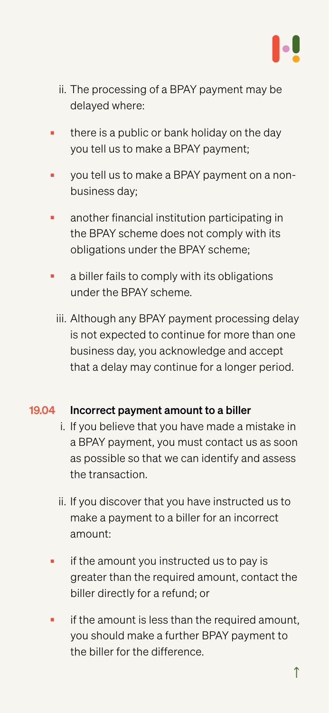- <span id="page-21-0"></span>ii. The processing of a BPAY payment may be delayed where:
- there is a public or bank holiday on the day you tell us to make a BPAY payment;
- you tell us to make a BPAY payment on a nonbusiness day;
- another financial institution participating in the BPAY scheme does not comply with its obligations under the BPAY scheme;
- a biller fails to comply with its obligations under the BPAY scheme.
	- iii. Although any BPAY payment processing delay is not expected to continue for more than one business day, you acknowledge and accept that a delay may continue for a longer period.

- if the amount you instructed us to pay is greater than the required amount, contact the biller directly for a refund; or
- if the amount is less than the required amount, you should make a further BPAY payment to the biller for the difference.
- i. If you believe that you have made a mistake in a BPAY payment, you must contact us as soon as possible so that we can identify and assess the transaction.
- ii. If you discover that you have instructed us to make a payment to a biller for an incorrect

### Incorrect payment amount to a biller 19.04

## amount: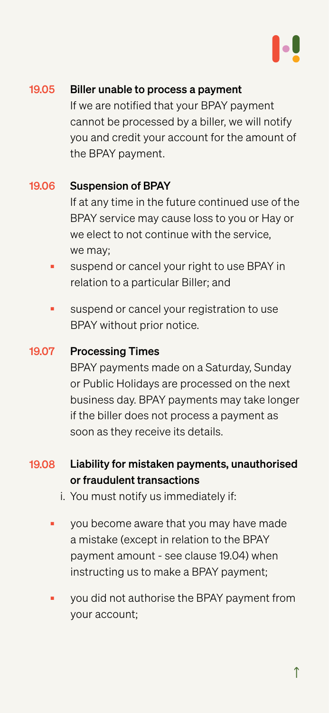If we are notified that your BPAY payment cannot be processed by a biller, we will notify you and credit your account for the amount of the BPAY payment.

- suspend or cancel your right to use BPAY in relation to a particular Biller; and
- suspend or cancel your registration to use BPAY without prior notice.

If at any time in the future continued use of the BPAY service may cause loss to you or Hay or we elect to not continue with the service, we may;

- Liability for mistaken payments, unauthorised or fraudulent transactions 19.08
	- i. You must notify us immediately if:
	- you become aware that you may have made

you did not authorise the BPAY payment from your account;

### <span id="page-22-0"></span>Biller unable to process a payment 19.05

BPAY payments made on a Saturday, Sunday or Public Holidays are processed on the next business day. BPAY payments may take longer if the biller does not process a payment as soon as they receive its details.

### Suspension of BPAY 19.06

### Processing Times 19.07

a mistake (except in relation to the BPAY payment amount - see clause 19.04) when instructing us to make a BPAY payment;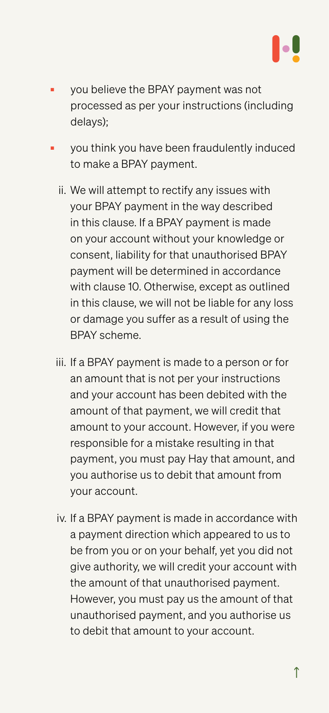- <span id="page-23-0"></span>you believe the BPAY payment was not processed as per your instructions (including delays);
- you think you have been fraudulently induced to make a BPAY payment.
	- ii. We will attempt to rectify any issues with your BPAY payment in the way described in this clause. If a BPAY payment is made on your account without your knowledge or consent, liability for that unauthorised BPAY

payment will be determined in accordance with clause 10. Otherwise, except as outlined in this clause, we will not be liable for any loss or damage you suffer as a result of using the BPAY scheme.

iii. If a BPAY payment is made to a person or for an amount that is not per your instructions and your account has been debited with the amount of that payment, we will credit that amount to your account. However, if you were responsible for a mistake resulting in that payment, you must pay Hay that amount, and you authorise us to debit that amount from your account.

iv. If a BPAY payment is made in accordance with

a payment direction which appeared to us to be from you or on your behalf, yet you did not give authority, we will credit your account with the amount of that unauthorised payment. However, you must pay us the amount of that unauthorised payment, and you authorise us to debit that amount to your account.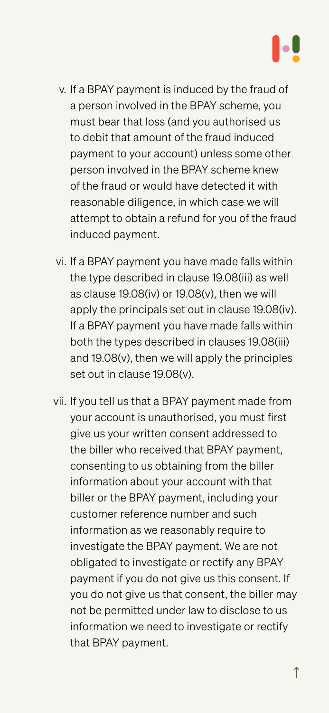- v. If a BPAY payment is induced by the fraud of a person involved in the BPAY scheme, you must bear that loss (and you authorised us to debit that amount of the fraud induced payment to your account) unless some other person involved in the BPAY scheme knew of the fraud or would have detected it with reasonable diligence, in which case we will attempt to obtain a refund for you of the fraud induced payment.
- vi. If a BPAY payment you have made falls within the type described in clause 19.08(iii) as well as clause 19.08(iv) or 19.08(v), then we will apply the principals set out in clause 19.08(iv). If a BPAY payment you have made falls within both the types described in clauses 19.08(iii) and 19.08(v), then we will apply the principles set out in clause 19.08(v).
- vii. If you tell us that a BPAY payment made from your account is unauthorised, you must first give us your written consent addressed to the biller who received that BPAY payment, consenting to us obtaining from the biller information about your account with that biller or the BPAY payment, including your customer reference number and such

information as we reasonably require to investigate the BPAY payment. We are not obligated to investigate or rectify any BPAY payment if you do not give us this consent. If you do not give us that consent, the biller may not be permitted under law to disclose to us information we need to investigate or rectify that BPAY payment.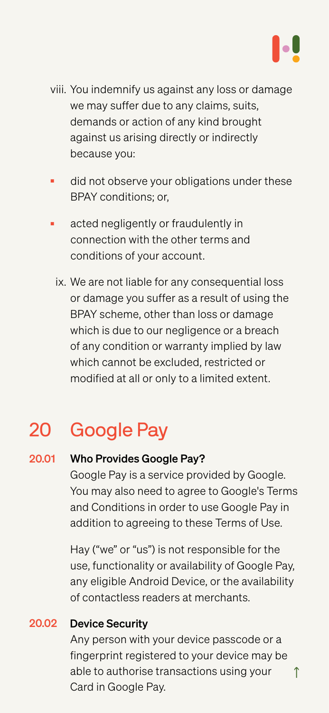- <span id="page-25-0"></span>viii. You indemnify us against any loss or damage we may suffer due to any claims, suits, demands or action of any kind brought against us arising directly or indirectly because you:
- did not observe your obligations under these BPAY conditions; or,
- acted negligently or fraudulently in connection with the other terms and conditions of your account.
	- ix. We are not liable for any consequential loss or damage you suffer as a result of using the BPAY scheme, other than loss or damage which is due to our negligence or a breach of any condition or warranty implied by law which cannot be excluded, restricted or modified at all or only to a limited extent.

[↑](#page-4-0) Any person with your device passcode or a fingerprint registered to your device may be able to authorise transactions using your Card in Google Pay.

# 20 Google Pay

Google Pay is a service provided by Google. You may also need to agree to Google's Terms and Conditions in order to use Google Pay in addition to agreeing to these Terms of Use.

### Who Provides Google Pay? 20.01

Hay ("we" or "us") is not responsible for the use, functionality or availability of Google Pay, any eligible Android Device, or the availability of contactless readers at merchants.

### Device Security 20.02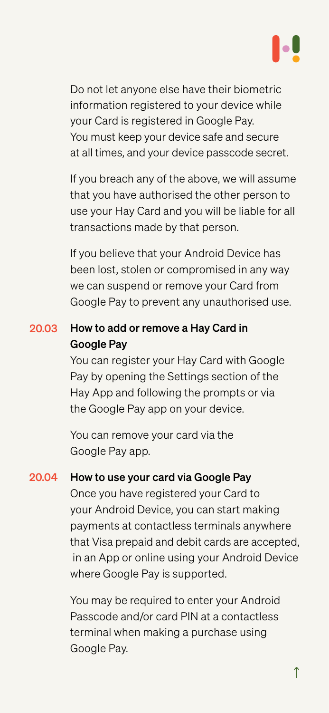Do not let anyone else have their biometric information registered to your device while your Card is registered in Google Pay. You must keep your device safe and secure at all times, and your device passcode secret.

If you breach any of the above, we will assume that you have authorised the other person to use your Hay Card and you will be liable for all transactions made by that person.

If you believe that your Android Device has

been lost, stolen or compromised in any way we can suspend or remove your Card from Google Pay to prevent any unauthorised use.

You can register your Hay Card with Google Pay by opening the Settings section of the Hay App and following the prompts or via the Google Pay app on your device.

You can remove your card via the Google Pay app.

## How to add or remove a Hay Card in Google Pay 20.03

## How to use your card via Google Pay Once you have registered your Card to your Android Device, you can start making payments at contactless terminals anywhere 20.04

that Visa prepaid and debit cards are accepted, in an App or online using your Android Device where Google Pay is supported.

You may be required to enter your Android Passcode and/or card PIN at a contactless terminal when making a purchase using Google Pay.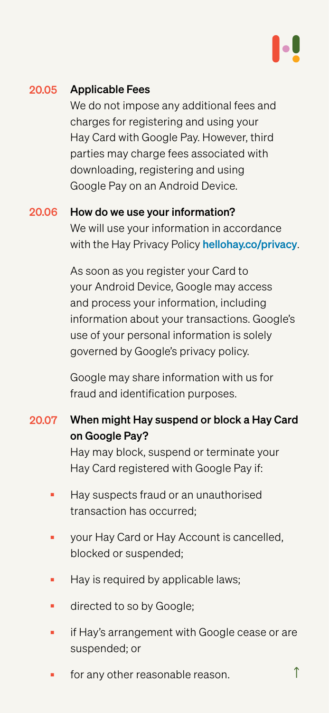■ for any other reasonable reason.

We do not impose any additional fees and charges for registering and using your Hay Card with Google Pay. However, third parties may charge fees associated with downloading, registering and using Google Pay on an Android Device.

As soon as you register your Card to your Android Device, Google may access and process your information, including information about your transactions. Google's use of your personal information is solely governed by Google's privacy policy.

### Applicable Fees 20.05

Google may share information with us for fraud and identification purposes.

How do we use your information? We will use your information in accordance with the Hay Privacy Policy [hellohay.co/privacy](https://www.hellohay.co/privacy). 20.06

- When might Hay suspend or block a Hay Card on Google Pay? Hay may block, suspend or terminate your Hay Card registered with Google Pay if: 20.07
	- **Hay suspects fraud or an unauthorised** transaction has occurred;
	- your Hay Card or Hay Account is cancelled, blocked or suspended;
	- Hay is required by applicable laws;
	- directed to so by Google;
	- if Hay's arrangement with Google cease or are suspended; or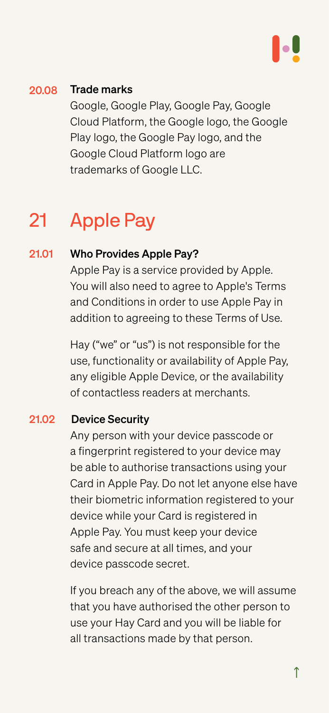Google, Google Play, Google Pay, Google Cloud Platform, the Google logo, the Google Play logo, the Google Pay logo, and the Google Cloud Platform logo are trademarks of Google LLC.

# 21 Apple Pay

Apple Pay is a service provided by Apple. You will also need to agree to Apple's Terms and Conditions in order to use Apple Pay in addition to agreeing to these Terms of Use.

Hay ("we" or "us") is not responsible for the use, functionality or availability of Apple Pay, any eligible Apple Device, or the availability of contactless readers at merchants.

### <span id="page-28-0"></span>Trade marks 20.08

### Who Provides Apple Pay? 21.01

Any person with your device passcode or a fingerprint registered to your device may be able to authorise transactions using your Card in Apple Pay. Do not let anyone else have their biometric information registered to your device while your Card is registered in

### Device Security 21.02

Apple Pay. You must keep your device safe and secure at all times, and your device passcode secret.

If you breach any of the above, we will assume that you have authorised the other person to use your Hay Card and you will be liable for all transactions made by that person.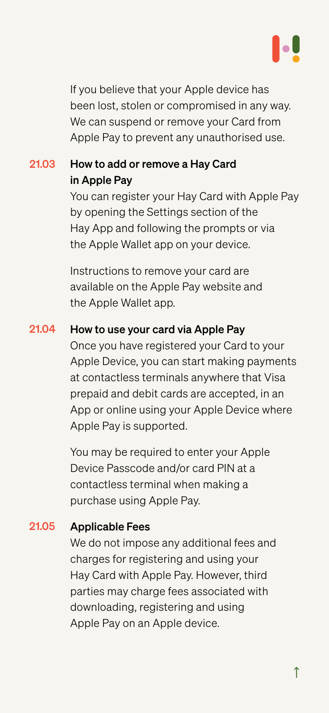If you believe that your Apple device has been lost, stolen or compromised in any way. We can suspend or remove your Card from Apple Pay to prevent any unauthorised use.

You can register your Hay Card with Apple Pay by opening the Settings section of the Hay App and following the prompts or via the Apple Wallet app on your device.

Instructions to remove your card are available on the Apple Pay website and the Apple Wallet app.

Once you have registered your Card to your Apple Device, you can start making payments at contactless terminals anywhere that Visa prepaid and debit cards are accepted, in an App or online using your Apple Device where Apple Pay is supported.

## How to add or remove a Hay Card in Apple Pay 21.03

### How to use your card via Apple Pay 21.04

You may be required to enter your Apple Device Passcode and/or card PIN at a contactless terminal when making a purchase using Apple Pay.

We do not impose any additional fees and charges for registering and using your Hay Card with Apple Pay. However, third parties may charge fees associated with downloading, registering and using Apple Pay on an Apple device.

### Applicable Fees 21.05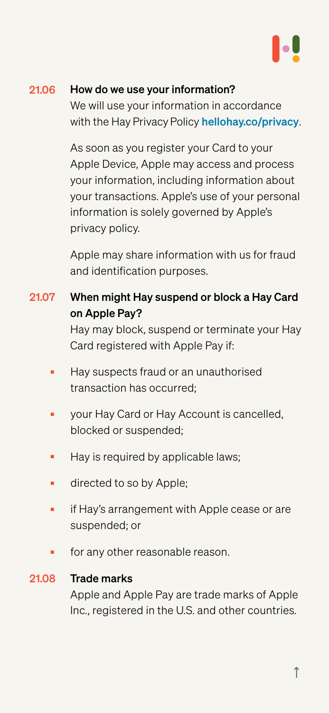As soon as you register your Card to your Apple Device, Apple may access and process your information, including information about your transactions. Apple's use of your personal information is solely governed by Apple's privacy policy.

Apple may share information with us for fraud

and identification purposes.

### How do we use your information? 21.06

We will use your information in accordance with the Hay Privacy Policy [hellohay.co/privacy](https://www.hellohay.co/privacy).

- When might Hay suspend or block a Hay Card 21.07 on Apple Pay? Hay may block, suspend or terminate your Hay Card registered with Apple Pay if:
	- Hay suspects fraud or an unauthorised transaction has occurred;
	- your Hay Card or Hay Account is cancelled, blocked or suspended;
	- Hay is required by applicable laws;
	- directed to so by Apple;
	- if Hay's arrangement with Apple cease or are suspended; or

for any other reasonable reason.

Apple and Apple Pay are trade marks of Apple Inc., registered in the U.S. and other countries.

### Trade marks 21.08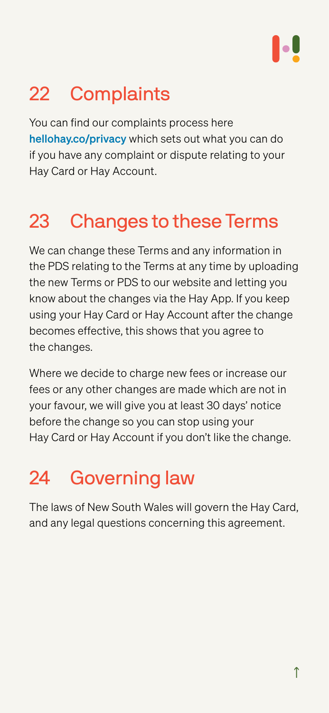# <span id="page-31-0"></span>22 Complaints

You can find our complaints process here hellohay.co/privacy which sets out what you can do if you have any complaint or dispute relating to your Hay Card or Hay Account.

# 23 Changes to these Terms

We can change these Terms and any information in the PDS relating to the Terms at any time by uploading the new Terms or PDS to our website and letting you know about the changes via the Hay App. If you keep using your Hay Card or Hay Account after the change becomes effective, this shows that you agree to the changes.

Where we decide to charge new fees or increase our fees or any other changes are made which are not in your favour, we will give you at least 30 days' notice before the change so you can stop using your Hay Card or Hay Account if you don't like the change.

# 24 Governing law

The laws of New South Wales will govern the Hay Card, and any legal questions concerning this agreement.